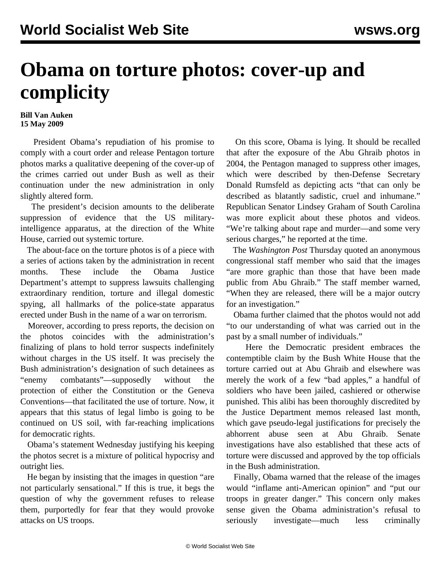## **Obama on torture photos: cover-up and complicity**

## **Bill Van Auken 15 May 2009**

 President Obama's repudiation of his promise to comply with a court order and release Pentagon torture photos marks a qualitative deepening of the cover-up of the crimes carried out under Bush as well as their continuation under the new administration in only slightly altered form.

 The president's decision amounts to the deliberate suppression of evidence that the US militaryintelligence apparatus, at the direction of the White House, carried out systemic torture.

 The about-face on the torture photos is of a piece with a series of actions taken by the administration in recent months. These include the Obama Justice Department's attempt to suppress lawsuits challenging extraordinary rendition, torture and illegal domestic spying, all hallmarks of the police-state apparatus erected under Bush in the name of a war on terrorism.

 Moreover, according to press reports, the decision on the photos coincides with the administration's finalizing of plans to hold terror suspects indefinitely without charges in the US itself. It was precisely the Bush administration's designation of such detainees as "enemy combatants"—supposedly without the protection of either the Constitution or the Geneva Conventions—that facilitated the use of torture. Now, it appears that this status of legal limbo is going to be continued on US soil, with far-reaching implications for democratic rights.

 Obama's statement Wednesday justifying his keeping the photos secret is a mixture of political hypocrisy and outright lies.

 He began by insisting that the images in question "are not particularly sensational." If this is true, it begs the question of why the government refuses to release them, purportedly for fear that they would provoke attacks on US troops.

 On this score, Obama is lying. It should be recalled that after the exposure of the Abu Ghraib photos in 2004, the Pentagon managed to suppress other images, which were described by then-Defense Secretary Donald Rumsfeld as depicting acts "that can only be described as blatantly sadistic, cruel and inhumane." Republican Senator Lindsey Graham of South Carolina was more explicit about these photos and videos. "We're talking about rape and murder—and some very serious charges," he reported at the time.

 The *Washington Post* Thursday quoted an anonymous congressional staff member who said that the images "are more graphic than those that have been made public from Abu Ghraib." The staff member warned, "When they are released, there will be a major outcry for an investigation."

 Obama further claimed that the photos would not add "to our understanding of what was carried out in the past by a small number of individuals."

 Here the Democratic president embraces the contemptible claim by the Bush White House that the torture carried out at Abu Ghraib and elsewhere was merely the work of a few "bad apples," a handful of soldiers who have been jailed, cashiered or otherwise punished. This alibi has been thoroughly discredited by the Justice Department memos released last month, which gave pseudo-legal justifications for precisely the abhorrent abuse seen at Abu Ghraib. Senate investigations have also established that these acts of torture were discussed and approved by the top officials in the Bush administration.

 Finally, Obama warned that the release of the images would "inflame anti-American opinion" and "put our troops in greater danger." This concern only makes sense given the Obama administration's refusal to seriously investigate—much less criminally